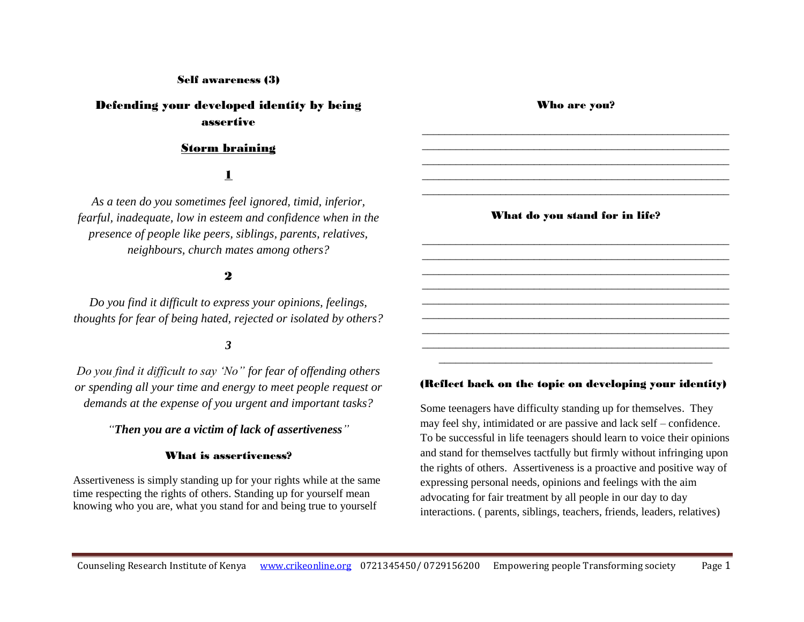#### Self awareness (3)

# Defending your developed identity by being assertive

#### Storm braining

## 1

*As a teen do you sometimes feel ignored, timid, inferior, fearful, inadequate, low in esteem and confidence when in the presence of people like peers, siblings, parents, relatives, neighbours, church mates among others?* 

### 2

*Do you find it difficult to express your opinions, feelings, thoughts for fear of being hated, rejected or isolated by others?*

### *3*

*Do you find it difficult to say 'No" for fear of offending others or spending all your time and energy to meet people request or demands at the expense of you urgent and important tasks?*

## *"Then you are a victim of lack of assertiveness"*

#### What is assertiveness?

Assertiveness is simply standing up for your rights while at the same time respecting the rights of others. Standing up for yourself mean knowing who you are, what you stand for and being true to yourself

Who are you?

\_\_\_\_\_\_\_\_\_\_\_\_\_\_\_\_\_\_\_\_\_\_\_\_\_\_\_\_\_\_\_\_\_\_\_\_\_\_\_\_\_\_\_\_\_\_\_\_\_\_\_\_\_\_\_ \_\_\_\_\_\_\_\_\_\_\_\_\_\_\_\_\_\_\_\_\_\_\_\_\_\_\_\_\_\_\_\_\_\_\_\_\_\_\_\_\_\_\_\_\_\_\_\_\_\_\_\_\_\_\_ \_\_\_\_\_\_\_\_\_\_\_\_\_\_\_\_\_\_\_\_\_\_\_\_\_\_\_\_\_\_\_\_\_\_\_\_\_\_\_\_\_\_\_\_\_\_\_\_\_\_\_\_\_\_\_ \_\_\_\_\_\_\_\_\_\_\_\_\_\_\_\_\_\_\_\_\_\_\_\_\_\_\_\_\_\_\_\_\_\_\_\_\_\_\_\_\_\_\_\_\_\_\_\_\_\_\_\_\_\_\_ \_\_\_\_\_\_\_\_\_\_\_\_\_\_\_\_\_\_\_\_\_\_\_\_\_\_\_\_\_\_\_\_\_\_\_\_\_\_\_\_\_\_\_\_\_\_\_\_\_\_\_\_\_\_\_

#### What do you stand for in life?

\_\_\_\_\_\_\_\_\_\_\_\_\_\_\_\_\_\_\_\_\_\_\_\_\_\_\_\_\_\_\_\_\_\_\_\_\_\_\_\_\_\_\_\_\_\_\_\_\_\_\_\_\_\_\_ \_\_\_\_\_\_\_\_\_\_\_\_\_\_\_\_\_\_\_\_\_\_\_\_\_\_\_\_\_\_\_\_\_\_\_\_\_\_\_\_\_\_\_\_\_\_\_\_\_\_\_\_\_\_\_ \_\_\_\_\_\_\_\_\_\_\_\_\_\_\_\_\_\_\_\_\_\_\_\_\_\_\_\_\_\_\_\_\_\_\_\_\_\_\_\_\_\_\_\_\_\_\_\_\_\_\_\_\_\_\_ \_\_\_\_\_\_\_\_\_\_\_\_\_\_\_\_\_\_\_\_\_\_\_\_\_\_\_\_\_\_\_\_\_\_\_\_\_\_\_\_\_\_\_\_\_\_\_\_\_\_\_\_\_\_\_ \_\_\_\_\_\_\_\_\_\_\_\_\_\_\_\_\_\_\_\_\_\_\_\_\_\_\_\_\_\_\_\_\_\_\_\_\_\_\_\_\_\_\_\_\_\_\_\_\_\_\_\_\_\_\_ \_\_\_\_\_\_\_\_\_\_\_\_\_\_\_\_\_\_\_\_\_\_\_\_\_\_\_\_\_\_\_\_\_\_\_\_\_\_\_\_\_\_\_\_\_\_\_\_\_\_\_\_\_\_\_ \_\_\_\_\_\_\_\_\_\_\_\_\_\_\_\_\_\_\_\_\_\_\_\_\_\_\_\_\_\_\_\_\_\_\_\_\_\_\_\_\_\_\_\_\_\_\_\_\_\_\_\_\_\_\_ \_\_\_\_\_\_\_\_\_\_\_\_\_\_\_\_\_\_\_\_\_\_\_\_\_\_\_\_\_\_\_\_\_\_\_\_\_\_\_\_\_\_\_\_\_\_\_\_\_\_\_\_\_\_\_ \_\_\_\_\_\_\_\_\_\_\_\_\_\_\_\_\_\_\_\_\_\_\_\_\_\_\_\_\_\_\_\_\_\_\_\_\_\_\_\_\_\_\_\_\_\_\_\_\_

### (Reflect back on the topic on developing your identity)

Some teenagers have difficulty standing up for themselves. They may feel shy, intimidated or are passive and lack self – confidence. To be successful in life teenagers should learn to voice their opinions and stand for themselves tactfully but firmly without infringing upon the rights of others. Assertiveness is a proactive and positive way of expressing personal needs, opinions and feelings with the aim advocating for fair treatment by all people in our day to day interactions. ( parents, siblings, teachers, friends, leaders, relatives)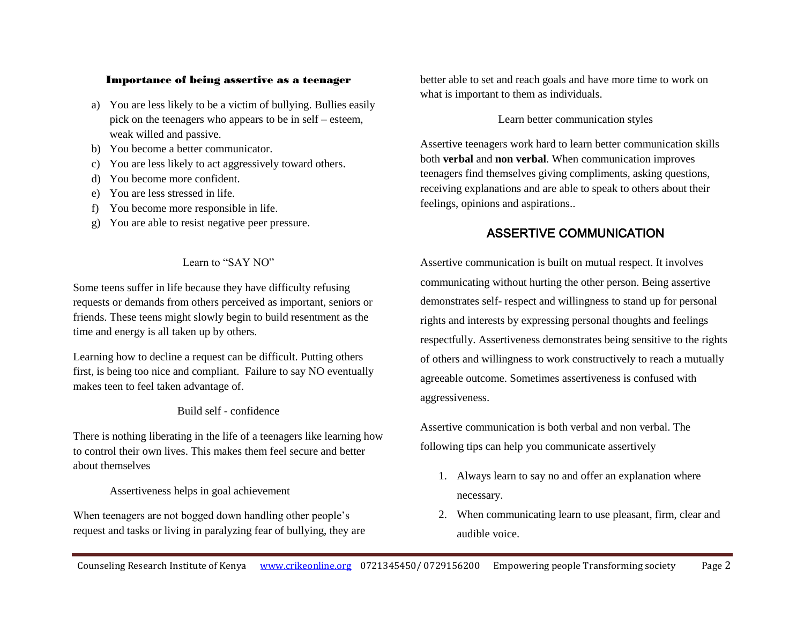#### Importance of being assertive as a teenager

- a) You are less likely to be a victim of bullying. Bullies easily pick on the teenagers who appears to be in self – esteem, weak willed and passive.
- b) You become a better communicator.
- c) You are less likely to act aggressively toward others.
- d) You become more confident.
- e) You are less stressed in life.
- f) You become more responsible in life.
- g) You are able to resist negative peer pressure.

## Learn to "SAY NO"

Some teens suffer in life because they have difficulty refusing requests or demands from others perceived as important, seniors or friends. These teens might slowly begin to build resentment as the time and energy is all taken up by others.

Learning how to decline a request can be difficult. Putting others first, is being too nice and compliant. Failure to say NO eventually makes teen to feel taken advantage of.

## Build self - confidence

There is nothing liberating in the life of a teenagers like learning how to control their own lives. This makes them feel secure and better about themselves

Assertiveness helps in goal achievement

When teenagers are not bogged down handling other people's request and tasks or living in paralyzing fear of bullying, they are better able to set and reach goals and have more time to work on what is important to them as individuals.

## Learn better communication styles

Assertive teenagers work hard to learn better communication skills both **verbal** and **non verbal**. When communication improves teenagers find themselves giving compliments, asking questions, receiving explanations and are able to speak to others about their feelings, opinions and aspirations..

# ASSERTIVE COMMUNICATION

Assertive communication is built on mutual respect. It involves communicating without hurting the other person. Being assertive demonstrates self- respect and willingness to stand up for personal rights and interests by expressing personal thoughts and feelings respectfully. Assertiveness demonstrates being sensitive to the rights of others and willingness to work constructively to reach a mutually agreeable outcome. Sometimes assertiveness is confused with aggressiveness.

Assertive communication is both verbal and non verbal. The following tips can help you communicate assertively

- 1. Always learn to say no and offer an explanation where necessary.
- 2. When communicating learn to use pleasant, firm, clear and audible voice.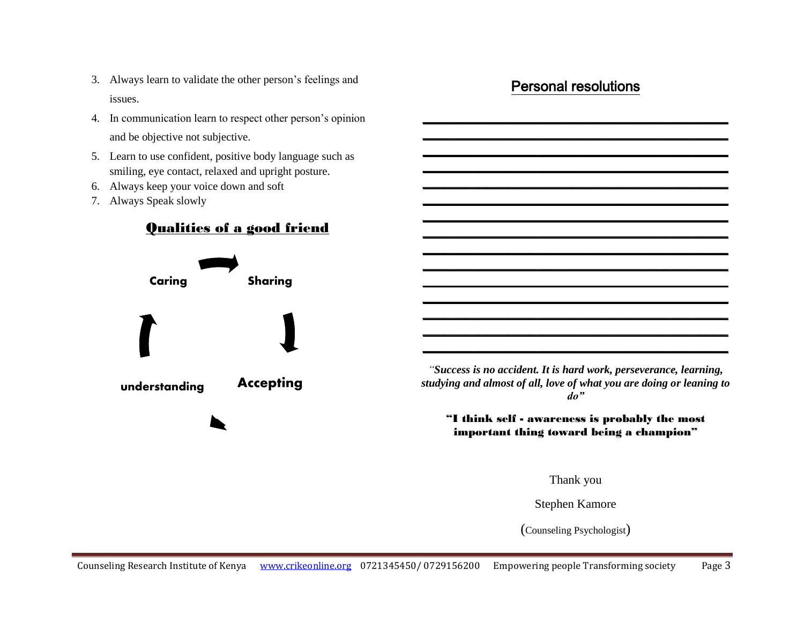- 3. Always learn to validate the other person's feelings and issues.
- 4. In communication learn to respect other person's opinion and be objective not subjective.
- 5. Learn to use confident, positive body language such as smiling, eye contact, relaxed and upright posture.
- 6. Always keep your voice down and soft
- 7. Always Speak slowly



# Personal resolutions

**\_\_\_\_\_\_\_\_\_\_\_\_\_\_\_\_\_\_\_\_\_\_\_\_\_\_\_\_\_\_\_\_\_\_\_\_\_\_\_\_\_\_\_ \_\_\_\_\_\_\_\_\_\_\_\_\_\_\_\_\_\_\_\_\_\_\_\_\_\_\_\_\_\_\_\_\_\_\_\_\_\_\_\_\_\_\_ \_\_\_\_\_\_\_\_\_\_\_\_\_\_\_\_\_\_\_\_\_\_\_\_\_\_\_\_\_\_\_\_\_\_\_\_\_\_\_\_\_\_\_ \_\_\_\_\_\_\_\_\_\_\_\_\_\_\_\_\_\_\_\_\_\_\_\_\_\_\_\_\_\_\_\_\_\_\_\_\_\_\_\_\_\_\_ \_\_\_\_\_\_\_\_\_\_\_\_\_\_\_\_\_\_\_\_\_\_\_\_\_\_\_\_\_\_\_\_\_\_\_\_\_\_\_\_\_\_\_ \_\_\_\_\_\_\_\_\_\_\_\_\_\_\_\_\_\_\_\_\_\_\_\_\_\_\_\_\_\_\_\_\_\_\_\_\_\_\_\_\_\_\_ \_\_\_\_\_\_\_\_\_\_\_\_\_\_\_\_\_\_\_\_\_\_\_\_\_\_\_\_\_\_\_\_\_\_\_\_\_\_\_\_\_\_\_ \_\_\_\_\_\_\_\_\_\_\_\_\_\_\_\_\_\_\_\_\_\_\_\_\_\_\_\_\_\_\_\_\_\_\_\_\_\_\_\_\_\_\_ \_\_\_\_\_\_\_\_\_\_\_\_\_\_\_\_\_\_\_\_\_\_\_\_\_\_\_\_\_\_\_\_\_\_\_\_\_\_\_\_\_\_\_ \_\_\_\_\_\_\_\_\_\_\_\_\_\_\_\_\_\_\_\_\_\_\_\_\_\_\_\_\_\_\_\_\_\_\_\_\_\_\_\_\_\_\_ \_\_\_\_\_\_\_\_\_\_\_\_\_\_\_\_\_\_\_\_\_\_\_\_\_\_\_\_\_\_\_\_\_\_\_\_\_\_\_\_\_\_\_ \_\_\_\_\_\_\_\_\_\_\_\_\_\_\_\_\_\_\_\_\_\_\_\_\_\_\_\_\_\_\_\_\_\_\_\_\_\_\_\_\_\_\_ \_\_\_\_\_\_\_\_\_\_\_\_\_\_\_\_\_\_\_\_\_\_\_\_\_\_\_\_\_\_\_\_\_\_\_\_\_\_\_\_\_\_\_ \_\_\_\_\_\_\_\_\_\_\_\_\_\_\_\_\_\_\_\_\_\_\_\_\_\_\_\_\_\_\_\_\_\_\_\_\_\_\_\_\_\_\_ \_\_\_\_\_\_\_\_\_\_\_\_\_\_\_\_\_\_\_\_\_\_\_\_\_\_\_\_\_\_\_\_\_\_\_\_\_\_\_\_\_\_\_**

*"Success is no accident. It is hard work, perseverance, learning, studying and almost of all, love of what you are doing or leaning to do"*

"I think self - awareness is probably the most important thing toward being a champion"

Thank you

Stephen Kamore

(Counseling Psychologist)